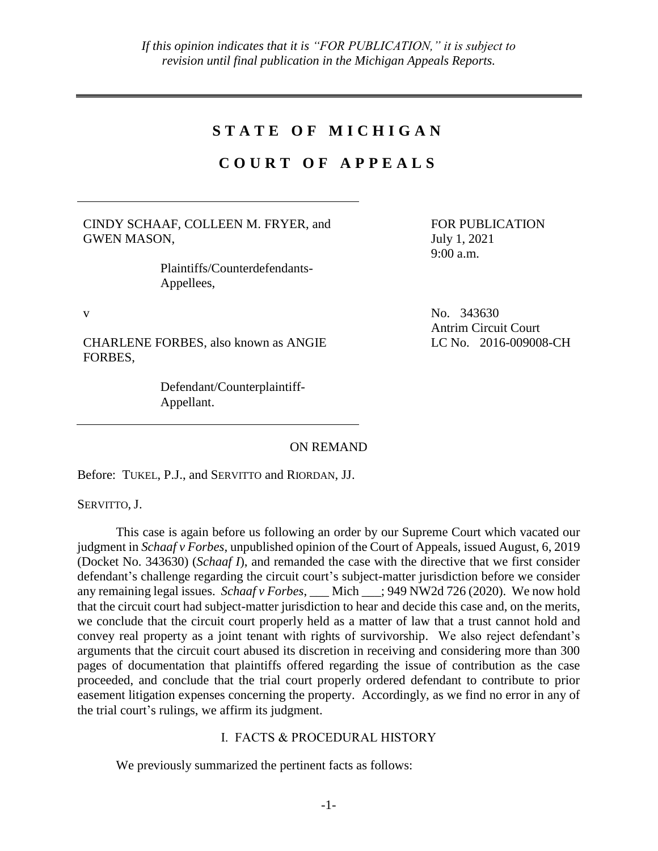# **S T A T E O F M I C H I G A N**

# **C O U R T O F A P P E A L S**

CINDY SCHAAF, COLLEEN M. FRYER, and GWEN MASON,

> Plaintiffs/Counterdefendants-Appellees,

CHARLENE FORBES, also known as ANGIE FORBES,

> Defendant/Counterplaintiff-Appellant.

FOR PUBLICATION July 1, 2021 9:00 a.m.

v No. 343630 Antrim Circuit Court LC No. 2016-009008-CH

ON REMAND

Before: TUKEL, P.J., and SERVITTO and RIORDAN, JJ.

SERVITTO, J.

This case is again before us following an order by our Supreme Court which vacated our judgment in *Schaaf v Forbes*, unpublished opinion of the Court of Appeals, issued August, 6, 2019 (Docket No. 343630) (*Schaaf I*), and remanded the case with the directive that we first consider defendant's challenge regarding the circuit court's subject-matter jurisdiction before we consider any remaining legal issues. *Schaaf v Forbes*, Mich : 949 NW2d 726 (2020). We now hold that the circuit court had subject-matter jurisdiction to hear and decide this case and, on the merits, we conclude that the circuit court properly held as a matter of law that a trust cannot hold and convey real property as a joint tenant with rights of survivorship. We also reject defendant's arguments that the circuit court abused its discretion in receiving and considering more than 300 pages of documentation that plaintiffs offered regarding the issue of contribution as the case proceeded, and conclude that the trial court properly ordered defendant to contribute to prior easement litigation expenses concerning the property. Accordingly, as we find no error in any of the trial court's rulings, we affirm its judgment.

# I. FACTS & PROCEDURAL HISTORY

We previously summarized the pertinent facts as follows: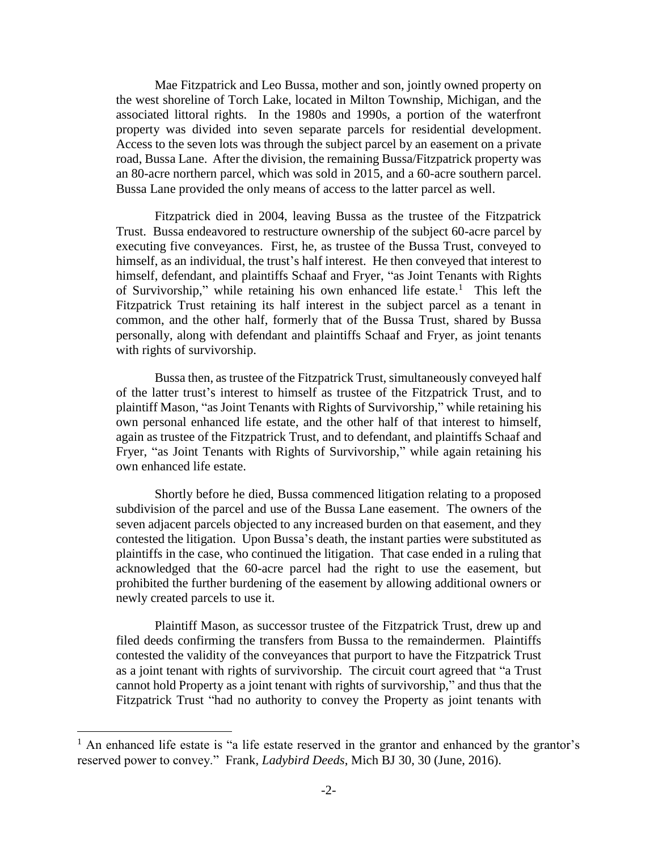Mae Fitzpatrick and Leo Bussa, mother and son, jointly owned property on the west shoreline of Torch Lake, located in Milton Township, Michigan, and the associated littoral rights. In the 1980s and 1990s, a portion of the waterfront property was divided into seven separate parcels for residential development. Access to the seven lots was through the subject parcel by an easement on a private road, Bussa Lane. After the division, the remaining Bussa/Fitzpatrick property was an 80-acre northern parcel, which was sold in 2015, and a 60-acre southern parcel. Bussa Lane provided the only means of access to the latter parcel as well.

Fitzpatrick died in 2004, leaving Bussa as the trustee of the Fitzpatrick Trust. Bussa endeavored to restructure ownership of the subject 60-acre parcel by executing five conveyances. First, he, as trustee of the Bussa Trust, conveyed to himself, as an individual, the trust's half interest. He then conveyed that interest to himself, defendant, and plaintiffs Schaaf and Fryer, "as Joint Tenants with Rights of Survivorship," while retaining his own enhanced life estate.<sup>1</sup> This left the Fitzpatrick Trust retaining its half interest in the subject parcel as a tenant in common, and the other half, formerly that of the Bussa Trust, shared by Bussa personally, along with defendant and plaintiffs Schaaf and Fryer, as joint tenants with rights of survivorship.

Bussa then, as trustee of the Fitzpatrick Trust, simultaneously conveyed half of the latter trust's interest to himself as trustee of the Fitzpatrick Trust, and to plaintiff Mason, "as Joint Tenants with Rights of Survivorship," while retaining his own personal enhanced life estate, and the other half of that interest to himself, again as trustee of the Fitzpatrick Trust, and to defendant, and plaintiffs Schaaf and Fryer, "as Joint Tenants with Rights of Survivorship," while again retaining his own enhanced life estate.

Shortly before he died, Bussa commenced litigation relating to a proposed subdivision of the parcel and use of the Bussa Lane easement. The owners of the seven adjacent parcels objected to any increased burden on that easement, and they contested the litigation. Upon Bussa's death, the instant parties were substituted as plaintiffs in the case, who continued the litigation. That case ended in a ruling that acknowledged that the 60-acre parcel had the right to use the easement, but prohibited the further burdening of the easement by allowing additional owners or newly created parcels to use it.

Plaintiff Mason, as successor trustee of the Fitzpatrick Trust, drew up and filed deeds confirming the transfers from Bussa to the remaindermen. Plaintiffs contested the validity of the conveyances that purport to have the Fitzpatrick Trust as a joint tenant with rights of survivorship. The circuit court agreed that "a Trust cannot hold Property as a joint tenant with rights of survivorship," and thus that the Fitzpatrick Trust "had no authority to convey the Property as joint tenants with

 $\overline{a}$ 

 $<sup>1</sup>$  An enhanced life estate is "a life estate reserved in the grantor and enhanced by the grantor's</sup> reserved power to convey." Frank, *Ladybird Deeds*, Mich BJ 30, 30 (June, 2016).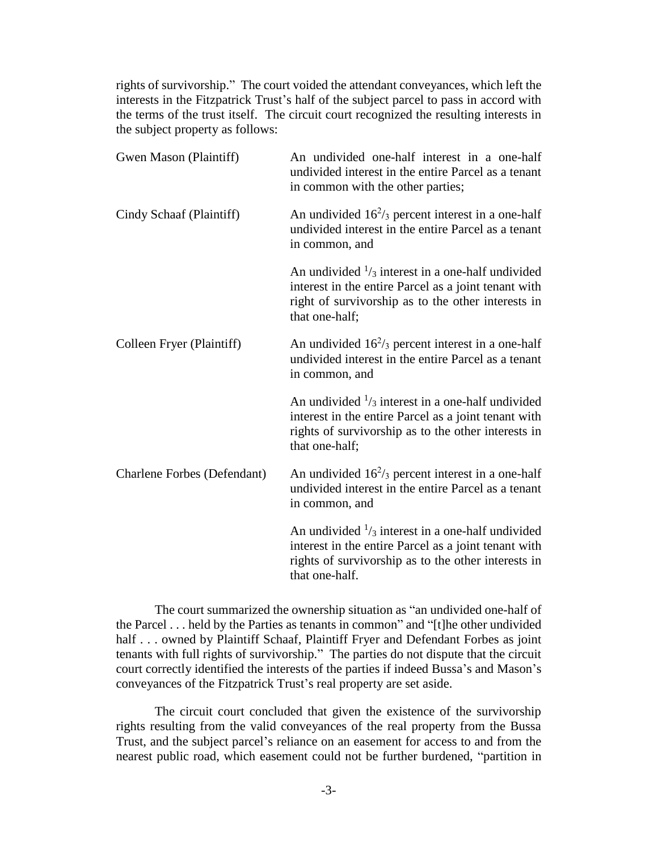rights of survivorship." The court voided the attendant conveyances, which left the interests in the Fitzpatrick Trust's half of the subject parcel to pass in accord with the terms of the trust itself. The circuit court recognized the resulting interests in the subject property as follows:

| Gwen Mason (Plaintiff)      | An undivided one-half interest in a one-half<br>undivided interest in the entire Parcel as a tenant<br>in common with the other parties;                                                     |
|-----------------------------|----------------------------------------------------------------------------------------------------------------------------------------------------------------------------------------------|
| Cindy Schaaf (Plaintiff)    | An undivided $16^2$ /3 percent interest in a one-half<br>undivided interest in the entire Parcel as a tenant<br>in common, and                                                               |
|                             | An undivided $\frac{1}{3}$ interest in a one-half undivided<br>interest in the entire Parcel as a joint tenant with<br>right of survivorship as to the other interests in<br>that one-half;  |
| Colleen Fryer (Plaintiff)   | An undivided $16^2$ / <sub>3</sub> percent interest in a one-half<br>undivided interest in the entire Parcel as a tenant<br>in common, and                                                   |
|                             | An undivided $\frac{1}{3}$ interest in a one-half undivided<br>interest in the entire Parcel as a joint tenant with<br>rights of survivorship as to the other interests in<br>that one-half; |
| Charlene Forbes (Defendant) | An undivided $16^2$ /3 percent interest in a one-half<br>undivided interest in the entire Parcel as a tenant<br>in common, and                                                               |
|                             | An undivided $\frac{1}{3}$ interest in a one-half undivided<br>interest in the entire Parcel as a joint tenant with<br>rights of survivorship as to the other interests in<br>that one-half. |

The court summarized the ownership situation as "an undivided one-half of the Parcel . . . held by the Parties as tenants in common" and "[t]he other undivided half . . . owned by Plaintiff Schaaf, Plaintiff Fryer and Defendant Forbes as joint tenants with full rights of survivorship." The parties do not dispute that the circuit court correctly identified the interests of the parties if indeed Bussa's and Mason's conveyances of the Fitzpatrick Trust's real property are set aside.

The circuit court concluded that given the existence of the survivorship rights resulting from the valid conveyances of the real property from the Bussa Trust, and the subject parcel's reliance on an easement for access to and from the nearest public road, which easement could not be further burdened, "partition in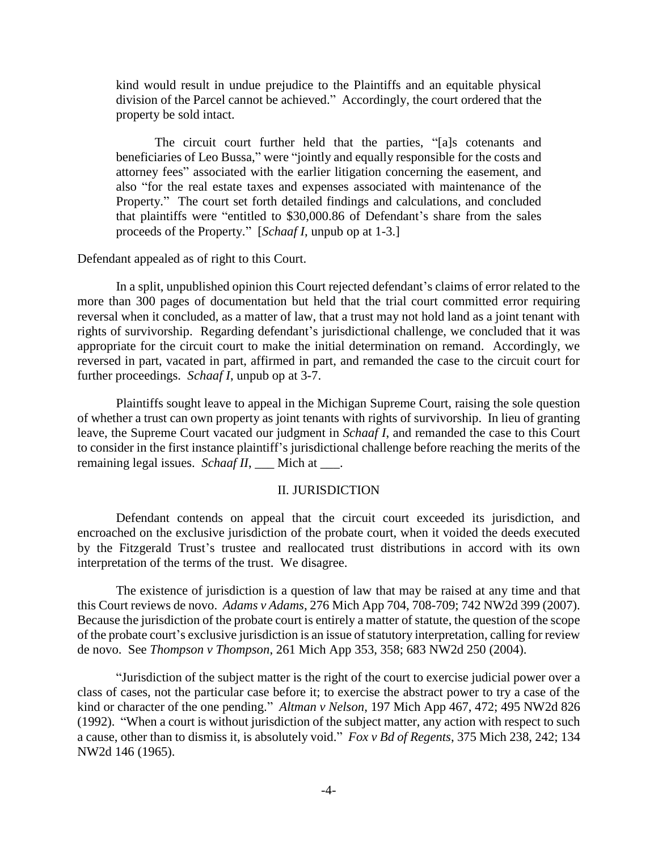kind would result in undue prejudice to the Plaintiffs and an equitable physical division of the Parcel cannot be achieved." Accordingly, the court ordered that the property be sold intact.

The circuit court further held that the parties, "[a]s cotenants and beneficiaries of Leo Bussa," were "jointly and equally responsible for the costs and attorney fees" associated with the earlier litigation concerning the easement, and also "for the real estate taxes and expenses associated with maintenance of the Property." The court set forth detailed findings and calculations, and concluded that plaintiffs were "entitled to \$30,000.86 of Defendant's share from the sales proceeds of the Property." [*Schaaf I*, unpub op at 1-3.]

### Defendant appealed as of right to this Court.

In a split, unpublished opinion this Court rejected defendant's claims of error related to the more than 300 pages of documentation but held that the trial court committed error requiring reversal when it concluded, as a matter of law, that a trust may not hold land as a joint tenant with rights of survivorship. Regarding defendant's jurisdictional challenge, we concluded that it was appropriate for the circuit court to make the initial determination on remand. Accordingly, we reversed in part, vacated in part, affirmed in part, and remanded the case to the circuit court for further proceedings. *Schaaf I*, unpub op at 3-7.

Plaintiffs sought leave to appeal in the Michigan Supreme Court, raising the sole question of whether a trust can own property as joint tenants with rights of survivorship. In lieu of granting leave, the Supreme Court vacated our judgment in *Schaaf I*, and remanded the case to this Court to consider in the first instance plaintiff's jurisdictional challenge before reaching the merits of the remaining legal issues. *Schaaf II*, \_\_\_ Mich at \_\_\_.

#### II. JURISDICTION

Defendant contends on appeal that the circuit court exceeded its jurisdiction, and encroached on the exclusive jurisdiction of the probate court, when it voided the deeds executed by the Fitzgerald Trust's trustee and reallocated trust distributions in accord with its own interpretation of the terms of the trust. We disagree.

The existence of jurisdiction is a question of law that may be raised at any time and that this Court reviews de novo. *Adams v Adams*, 276 Mich App 704, 708-709; 742 NW2d 399 (2007). Because the jurisdiction of the probate court is entirely a matter of statute, the question of the scope of the probate court's exclusive jurisdiction is an issue of statutory interpretation, calling for review de novo. See *Thompson v Thompson*, 261 Mich App 353, 358; 683 NW2d 250 (2004).

"Jurisdiction of the subject matter is the right of the court to exercise judicial power over a class of cases, not the particular case before it; to exercise the abstract power to try a case of the kind or character of the one pending." *Altman v Nelson*, 197 Mich App 467, 472; 495 NW2d 826 (1992). "When a court is without jurisdiction of the subject matter, any action with respect to such a cause, other than to dismiss it, is absolutely void." *Fox v Bd of Regents*, 375 Mich 238, 242; 134 NW2d 146 (1965).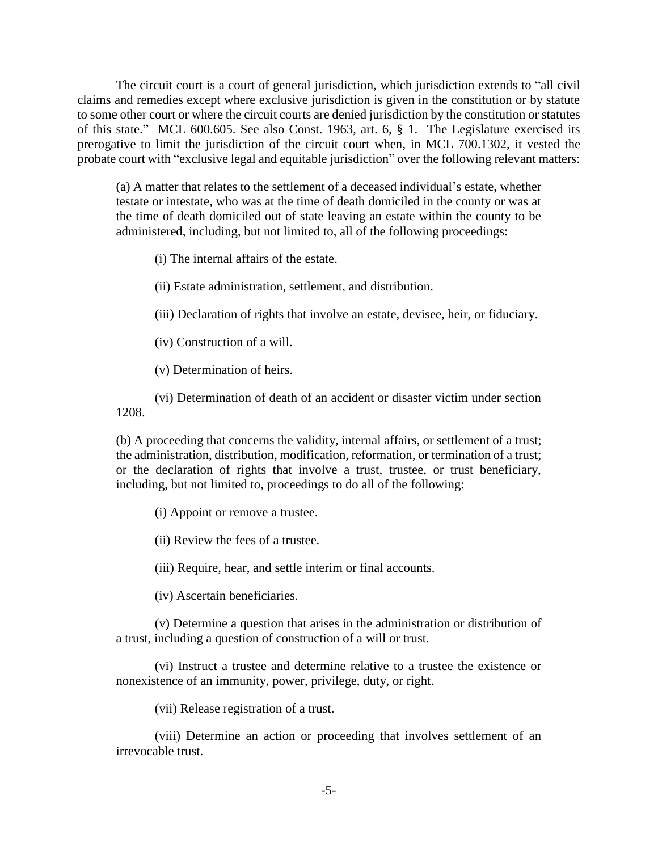The circuit court is a court of general jurisdiction, which jurisdiction extends to "all civil claims and remedies except where exclusive jurisdiction is given in the constitution or by statute to some other court or where the circuit courts are denied jurisdiction by the constitution or statutes of this state." MCL 600.605. See also Const. 1963, art. 6, § 1. The Legislature exercised its prerogative to limit the jurisdiction of the circuit court when, in MCL 700.1302, it vested the probate court with "exclusive legal and equitable jurisdiction" over the following relevant matters:

(a) A matter that relates to the settlement of a deceased individual's estate, whether testate or intestate, who was at the time of death domiciled in the county or was at the time of death domiciled out of state leaving an estate within the county to be administered, including, but not limited to, all of the following proceedings:

(i) The internal affairs of the estate.

(ii) Estate administration, settlement, and distribution.

(iii) Declaration of rights that involve an estate, devisee, heir, or fiduciary.

(iv) Construction of a will.

(v) Determination of heirs.

(vi) Determination of death of an accident or disaster victim under section 1208.

(b) A proceeding that concerns the validity, internal affairs, or settlement of a trust; the administration, distribution, modification, reformation, or termination of a trust; or the declaration of rights that involve a trust, trustee, or trust beneficiary, including, but not limited to, proceedings to do all of the following:

(i) Appoint or remove a trustee.

(ii) Review the fees of a trustee.

(iii) Require, hear, and settle interim or final accounts.

(iv) Ascertain beneficiaries.

(v) Determine a question that arises in the administration or distribution of a trust, including a question of construction of a will or trust.

(vi) Instruct a trustee and determine relative to a trustee the existence or nonexistence of an immunity, power, privilege, duty, or right.

(vii) Release registration of a trust.

(viii) Determine an action or proceeding that involves settlement of an irrevocable trust.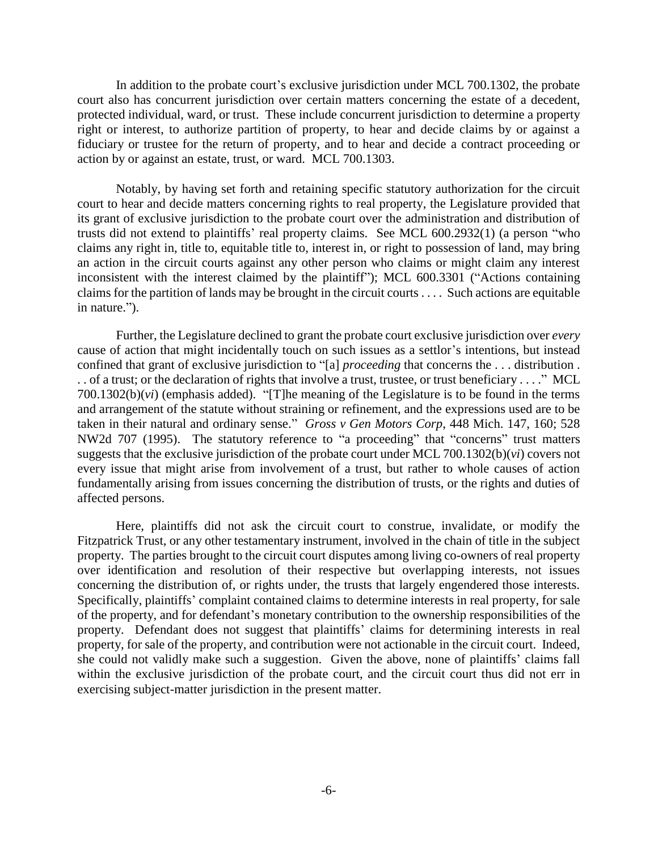In addition to the probate court's exclusive jurisdiction under MCL 700.1302, the probate court also has concurrent jurisdiction over certain matters concerning the estate of a decedent, protected individual, ward, or trust. These include concurrent jurisdiction to determine a property right or interest, to authorize partition of property, to hear and decide claims by or against a fiduciary or trustee for the return of property, and to hear and decide a contract proceeding or action by or against an estate, trust, or ward. MCL 700.1303.

Notably, by having set forth and retaining specific statutory authorization for the circuit court to hear and decide matters concerning rights to real property, the Legislature provided that its grant of exclusive jurisdiction to the probate court over the administration and distribution of trusts did not extend to plaintiffs' real property claims. See MCL 600.2932(1) (a person "who claims any right in, title to, equitable title to, interest in, or right to possession of land, may bring an action in the circuit courts against any other person who claims or might claim any interest inconsistent with the interest claimed by the plaintiff"); MCL 600.3301 ("Actions containing claims for the partition of lands may be brought in the circuit courts . . . . Such actions are equitable in nature.").

Further, the Legislature declined to grant the probate court exclusive jurisdiction over *every* cause of action that might incidentally touch on such issues as a settlor's intentions, but instead confined that grant of exclusive jurisdiction to "[a] *proceeding* that concerns the . . . distribution . . . of a trust; or the declaration of rights that involve a trust, trustee, or trust beneficiary . . . ." MCL 700.1302(b)(*vi*) (emphasis added). "[T]he meaning of the Legislature is to be found in the terms and arrangement of the statute without straining or refinement, and the expressions used are to be taken in their natural and ordinary sense." *Gross v Gen Motors Corp*, 448 Mich. 147, 160; 528 NW2d 707 (1995). The statutory reference to "a proceeding" that "concerns" trust matters suggests that the exclusive jurisdiction of the probate court under MCL 700.1302(b)(*vi*) covers not every issue that might arise from involvement of a trust, but rather to whole causes of action fundamentally arising from issues concerning the distribution of trusts, or the rights and duties of affected persons.

Here, plaintiffs did not ask the circuit court to construe, invalidate, or modify the Fitzpatrick Trust, or any other testamentary instrument, involved in the chain of title in the subject property. The parties brought to the circuit court disputes among living co-owners of real property over identification and resolution of their respective but overlapping interests, not issues concerning the distribution of, or rights under, the trusts that largely engendered those interests. Specifically, plaintiffs' complaint contained claims to determine interests in real property, for sale of the property, and for defendant's monetary contribution to the ownership responsibilities of the property. Defendant does not suggest that plaintiffs' claims for determining interests in real property, for sale of the property, and contribution were not actionable in the circuit court. Indeed, she could not validly make such a suggestion. Given the above, none of plaintiffs' claims fall within the exclusive jurisdiction of the probate court, and the circuit court thus did not err in exercising subject-matter jurisdiction in the present matter.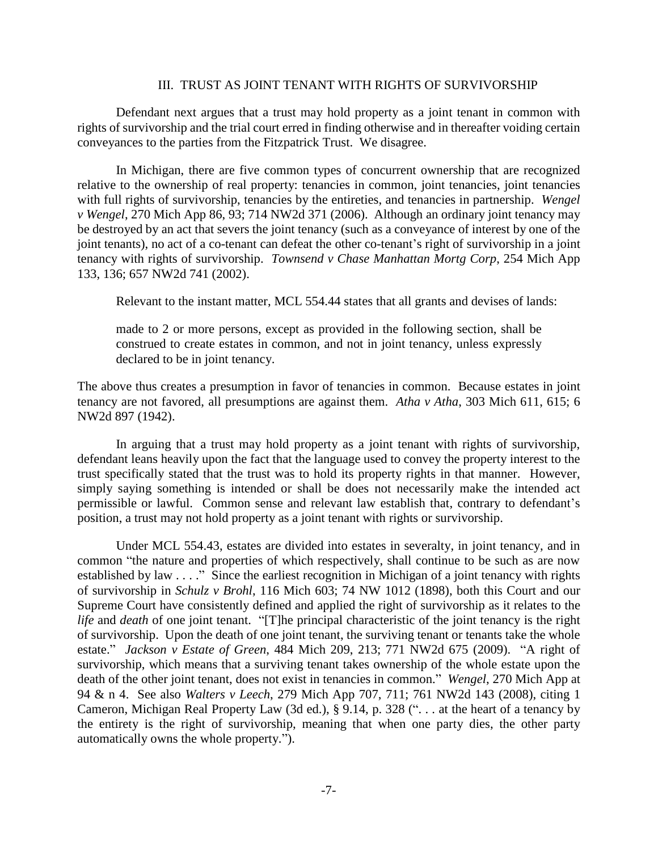## III. TRUST AS JOINT TENANT WITH RIGHTS OF SURVIVORSHIP

Defendant next argues that a trust may hold property as a joint tenant in common with rights of survivorship and the trial court erred in finding otherwise and in thereafter voiding certain conveyances to the parties from the Fitzpatrick Trust. We disagree.

In Michigan, there are five common types of concurrent ownership that are recognized relative to the ownership of real property: tenancies in common, joint tenancies, joint tenancies with full rights of survivorship, tenancies by the entireties, and tenancies in partnership. *Wengel v Wengel*, 270 Mich App 86, 93; 714 NW2d 371 (2006). Although an ordinary joint tenancy may be destroyed by an act that severs the joint tenancy (such as a conveyance of interest by one of the joint tenants), no act of a co-tenant can defeat the other co-tenant's right of survivorship in a joint tenancy with rights of survivorship. *Townsend v Chase Manhattan Mortg Corp*, 254 Mich App 133, 136; 657 NW2d 741 (2002).

Relevant to the instant matter, MCL 554.44 states that all grants and devises of lands:

made to 2 or more persons, except as provided in the following section, shall be construed to create estates in common, and not in joint tenancy, unless expressly declared to be in joint tenancy.

The above thus creates a presumption in favor of tenancies in common. Because estates in joint tenancy are not favored, all presumptions are against them. *Atha v Atha*, 303 Mich 611, 615; 6 NW2d 897 (1942).

In arguing that a trust may hold property as a joint tenant with rights of survivorship, defendant leans heavily upon the fact that the language used to convey the property interest to the trust specifically stated that the trust was to hold its property rights in that manner. However, simply saying something is intended or shall be does not necessarily make the intended act permissible or lawful. Common sense and relevant law establish that, contrary to defendant's position, a trust may not hold property as a joint tenant with rights or survivorship.

Under MCL 554.43, estates are divided into estates in severalty, in joint tenancy, and in common "the nature and properties of which respectively, shall continue to be such as are now established by law . . . ." Since the earliest recognition in Michigan of a joint tenancy with rights of survivorship in *Schulz v Brohl*, 116 Mich 603; 74 NW 1012 (1898), both this Court and our Supreme Court have consistently defined and applied the right of survivorship as it relates to the *life* and *death* of one joint tenant. "[T]he principal characteristic of the joint tenancy is the right of survivorship. Upon the death of one joint tenant, the surviving tenant or tenants take the whole estate." *Jackson v Estate of Green*, 484 Mich 209, 213; 771 NW2d 675 (2009). "A right of survivorship, which means that a surviving tenant takes ownership of the whole estate upon the death of the other joint tenant, does not exist in tenancies in common." *Wengel*, 270 Mich App at 94 & n 4. See also *Walters v Leech*, 279 Mich App 707, 711; 761 NW2d 143 (2008), citing 1 Cameron, Michigan Real Property Law (3d ed.), § 9.14, p. 328 (". . . at the heart of a tenancy by the entirety is the right of survivorship, meaning that when one party dies, the other party automatically owns the whole property.").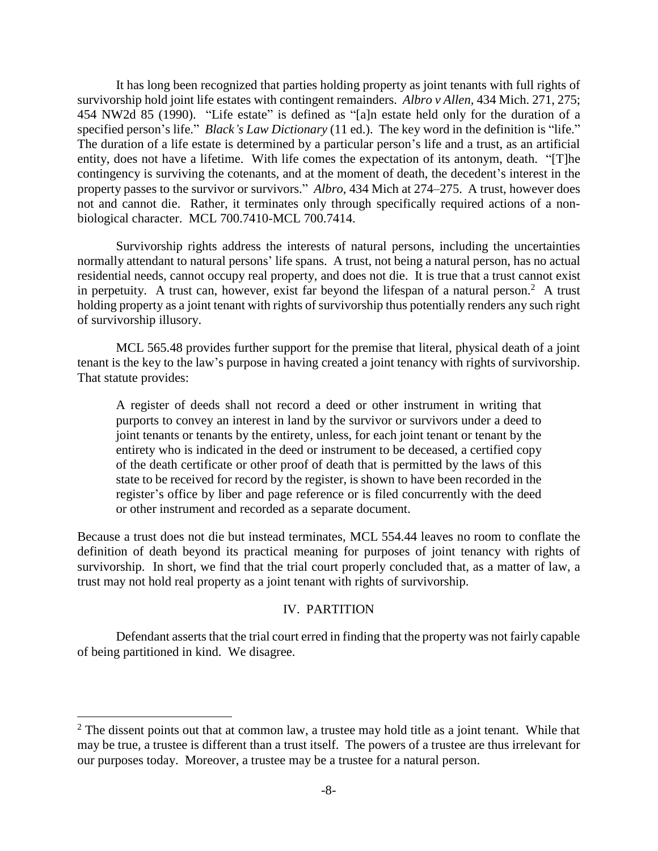It has long been recognized that parties holding property as joint tenants with full rights of survivorship hold joint life estates with contingent remainders. *Albro v Allen,* 434 Mich. 271, 275; 454 NW2d 85 (1990). "Life estate" is defined as "[a]n estate held only for the duration of a specified person's life." *Black's Law Dictionary* (11 ed.). The key word in the definition is "life." The duration of a life estate is determined by a particular person's life and a trust, as an artificial entity, does not have a lifetime. With life comes the expectation of its antonym, death. "[T]he contingency is surviving the cotenants, and at the moment of death, the decedent's interest in the property passes to the survivor or survivors." *Albro*, 434 Mich at 274–275. A trust, however does not and cannot die. Rather, it terminates only through specifically required actions of a nonbiological character. MCL 700.7410-MCL 700.7414.

Survivorship rights address the interests of natural persons, including the uncertainties normally attendant to natural persons' life spans. A trust, not being a natural person, has no actual residential needs, cannot occupy real property, and does not die. It is true that a trust cannot exist in perpetuity. A trust can, however, exist far beyond the lifespan of a natural person.<sup>2</sup> A trust holding property as a joint tenant with rights of survivorship thus potentially renders any such right of survivorship illusory.

MCL 565.48 provides further support for the premise that literal, physical death of a joint tenant is the key to the law's purpose in having created a joint tenancy with rights of survivorship. That statute provides:

A register of deeds shall not record a deed or other instrument in writing that purports to convey an interest in land by the survivor or survivors under a deed to joint tenants or tenants by the entirety, unless, for each joint tenant or tenant by the entirety who is indicated in the deed or instrument to be deceased, a certified copy of the death certificate or other proof of death that is permitted by the laws of this state to be received for record by the register, is shown to have been recorded in the register's office by liber and page reference or is filed concurrently with the deed or other instrument and recorded as a separate document.

Because a trust does not die but instead terminates, MCL 554.44 leaves no room to conflate the definition of death beyond its practical meaning for purposes of joint tenancy with rights of survivorship. In short, we find that the trial court properly concluded that, as a matter of law, a trust may not hold real property as a joint tenant with rights of survivorship.

## IV. PARTITION

Defendant asserts that the trial court erred in finding that the property was not fairly capable of being partitioned in kind. We disagree.

 $\overline{a}$ 

 $2^2$  The dissent points out that at common law, a trustee may hold title as a joint tenant. While that may be true, a trustee is different than a trust itself. The powers of a trustee are thus irrelevant for our purposes today. Moreover, a trustee may be a trustee for a natural person.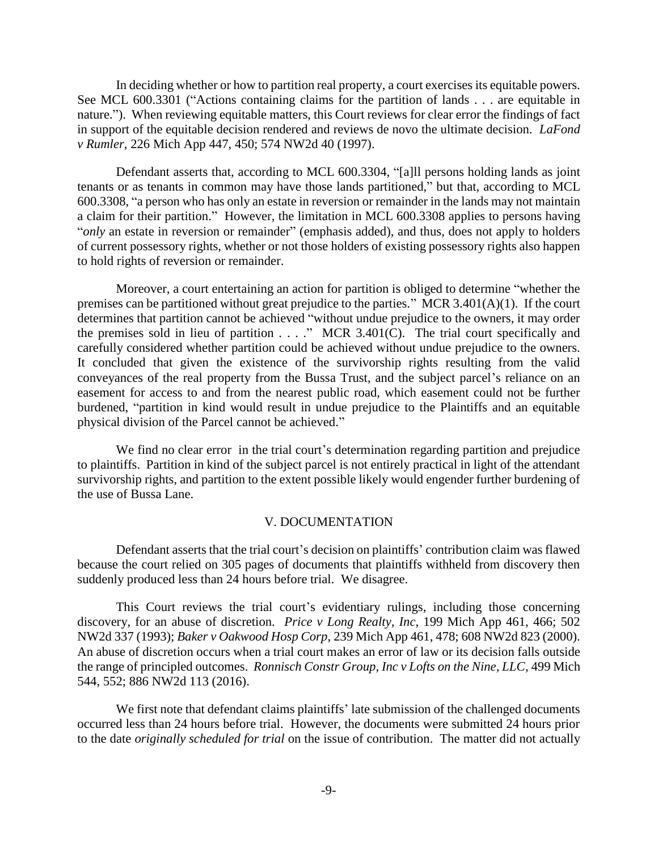In deciding whether or how to partition real property, a court exercises its equitable powers. See MCL 600.3301 ("Actions containing claims for the partition of lands . . . are equitable in nature."). When reviewing equitable matters, this Court reviews for clear error the findings of fact in support of the equitable decision rendered and reviews de novo the ultimate decision. *LaFond v Rumler*, 226 Mich App 447, 450; 574 NW2d 40 (1997).

Defendant asserts that, according to MCL 600.3304, "[a]ll persons holding lands as joint tenants or as tenants in common may have those lands partitioned," but that, according to MCL 600.3308, "a person who has only an estate in reversion or remainder in the lands may not maintain a claim for their partition." However, the limitation in MCL 600.3308 applies to persons having "*only* an estate in reversion or remainder" (emphasis added), and thus, does not apply to holders of current possessory rights, whether or not those holders of existing possessory rights also happen to hold rights of reversion or remainder.

Moreover, a court entertaining an action for partition is obliged to determine "whether the premises can be partitioned without great prejudice to the parties." MCR 3.401(A)(1). If the court determines that partition cannot be achieved "without undue prejudice to the owners, it may order the premises sold in lieu of partition  $\ldots$ ." MCR 3.401(C). The trial court specifically and carefully considered whether partition could be achieved without undue prejudice to the owners. It concluded that given the existence of the survivorship rights resulting from the valid conveyances of the real property from the Bussa Trust, and the subject parcel's reliance on an easement for access to and from the nearest public road, which easement could not be further burdened, "partition in kind would result in undue prejudice to the Plaintiffs and an equitable physical division of the Parcel cannot be achieved."

We find no clear error in the trial court's determination regarding partition and prejudice to plaintiffs. Partition in kind of the subject parcel is not entirely practical in light of the attendant survivorship rights, and partition to the extent possible likely would engender further burdening of the use of Bussa Lane.

### V. DOCUMENTATION

Defendant asserts that the trial court's decision on plaintiffs' contribution claim was flawed because the court relied on 305 pages of documents that plaintiffs withheld from discovery then suddenly produced less than 24 hours before trial. We disagree.

This Court reviews the trial court's evidentiary rulings, including those concerning discovery, for an abuse of discretion. *Price v Long Realty, Inc*, 199 Mich App 461, 466; 502 NW2d 337 (1993); *Baker v Oakwood Hosp Corp*, 239 Mich App 461, 478; 608 NW2d 823 (2000). An abuse of discretion occurs when a trial court makes an error of law or its decision falls outside the range of principled outcomes. *Ronnisch Constr Group, Inc v Lofts on the Nine, LLC*, 499 Mich 544, 552; 886 NW2d 113 (2016).

We first note that defendant claims plaintiffs' late submission of the challenged documents occurred less than 24 hours before trial. However, the documents were submitted 24 hours prior to the date *originally scheduled for trial* on the issue of contribution. The matter did not actually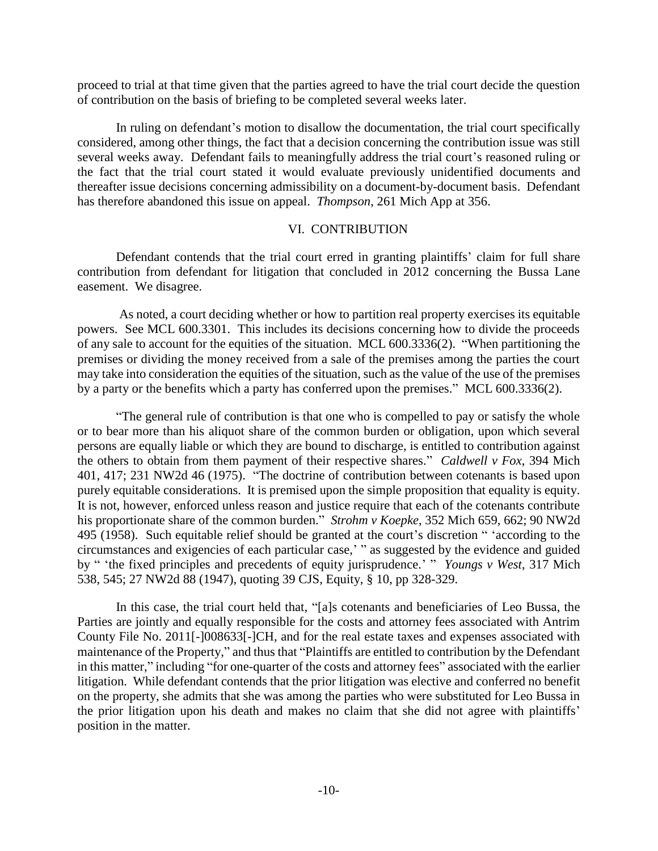proceed to trial at that time given that the parties agreed to have the trial court decide the question of contribution on the basis of briefing to be completed several weeks later.

In ruling on defendant's motion to disallow the documentation, the trial court specifically considered, among other things, the fact that a decision concerning the contribution issue was still several weeks away. Defendant fails to meaningfully address the trial court's reasoned ruling or the fact that the trial court stated it would evaluate previously unidentified documents and thereafter issue decisions concerning admissibility on a document-by-document basis. Defendant has therefore abandoned this issue on appeal. *Thompson*, 261 Mich App at 356.

## VI. CONTRIBUTION

Defendant contends that the trial court erred in granting plaintiffs' claim for full share contribution from defendant for litigation that concluded in 2012 concerning the Bussa Lane easement. We disagree.

As noted, a court deciding whether or how to partition real property exercises its equitable powers. See MCL 600.3301. This includes its decisions concerning how to divide the proceeds of any sale to account for the equities of the situation. MCL 600.3336(2). "When partitioning the premises or dividing the money received from a sale of the premises among the parties the court may take into consideration the equities of the situation, such as the value of the use of the premises by a party or the benefits which a party has conferred upon the premises." MCL 600.3336(2).

"The general rule of contribution is that one who is compelled to pay or satisfy the whole or to bear more than his aliquot share of the common burden or obligation, upon which several persons are equally liable or which they are bound to discharge, is entitled to contribution against the others to obtain from them payment of their respective shares." *Caldwell v Fox*, 394 Mich 401, 417; 231 NW2d 46 (1975). "The doctrine of contribution between cotenants is based upon purely equitable considerations. It is premised upon the simple proposition that equality is equity. It is not, however, enforced unless reason and justice require that each of the cotenants contribute his proportionate share of the common burden." *Strohm v Koepke*, 352 Mich 659, 662; 90 NW2d 495 (1958). Such equitable relief should be granted at the court's discretion " 'according to the circumstances and exigencies of each particular case,' " as suggested by the evidence and guided by " 'the fixed principles and precedents of equity jurisprudence.' " *Youngs v West*, 317 Mich 538, 545; 27 NW2d 88 (1947), quoting 39 CJS, Equity, § 10, pp 328-329.

In this case, the trial court held that, "[a]s cotenants and beneficiaries of Leo Bussa, the Parties are jointly and equally responsible for the costs and attorney fees associated with Antrim County File No. 2011[-]008633[-]CH, and for the real estate taxes and expenses associated with maintenance of the Property," and thus that "Plaintiffs are entitled to contribution by the Defendant in this matter," including "for one-quarter of the costs and attorney fees" associated with the earlier litigation. While defendant contends that the prior litigation was elective and conferred no benefit on the property, she admits that she was among the parties who were substituted for Leo Bussa in the prior litigation upon his death and makes no claim that she did not agree with plaintiffs' position in the matter.